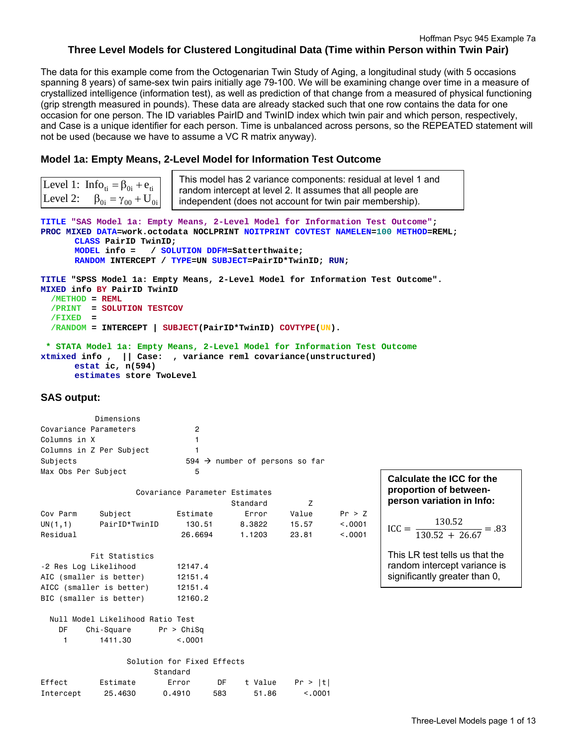The data for this example come from the Octogenarian Twin Study of Aging, a longitudinal study (with 5 occasions spanning 8 years) of same-sex twin pairs initially age 79-100. We will be examining change over time in a measure of crystallized intelligence (information test), as well as prediction of that change from a measured of physical functioning (grip strength measured in pounds). These data are already stacked such that one row contains the data for one occasion for one person. The ID variables PairID and TwinID index which twin pair and which person, respectively, and Case is a unique identifier for each person. Time is unbalanced across persons, so the REPEATED statement will not be used (because we have to assume a VC R matrix anyway).

# **Model 1a: Empty Means, 2-Level Model for Information Test Outcome**

Intercept 25.4630 0.4910 583 51.86 <.0001

| Level 2:                                          | Level 1: $Info_{ti} = \beta_{0i} + e_{ti}$<br>$\beta_{0i} = \gamma_{00} + U_{0i}$                                                                                                                             |                                        | This model has 2 variance components: residual at level 1 and<br>random intercept at level 2. It assumes that all people are<br>independent (does not account for twin pair membership). |                         |                              |                                                                                    |  |  |  |
|---------------------------------------------------|---------------------------------------------------------------------------------------------------------------------------------------------------------------------------------------------------------------|----------------------------------------|------------------------------------------------------------------------------------------------------------------------------------------------------------------------------------------|-------------------------|------------------------------|------------------------------------------------------------------------------------|--|--|--|
|                                                   | TITLE "SAS Model la: Empty Means, 2-Level Model for Information Test Outcome";<br>CLASS PairID TwinID;<br>MODEL info =<br>RANDOM INTERCEPT / TYPE=UN SUBJECT=PairID*TwinID; RUN;                              |                                        | / SOLUTION DDFM=Satterthwaite;                                                                                                                                                           |                         |                              | PROC MIXED DATA=work.octodata NOCLPRINT NOITPRINT COVTEST NAMELEN=100 METHOD=REML; |  |  |  |
| $/METHOD = REML$<br>/PRINT<br>/FIXED              | TITLE "SPSS Model la: Empty Means, 2-Level Model for Information Test Outcome".<br>MIXED info BY PairID TwinID<br>= SOLUTION TESTCOV<br>$\equiv$<br>/RANDOM = INTERCEPT   SUBJECT(PairID*TwinID) COVTYPE(UN). |                                        |                                                                                                                                                                                          |                         |                              |                                                                                    |  |  |  |
|                                                   | * STATA Model 1a: Empty Means, 2-Level Model for Information Test Outcome<br>xtmixed info, $  $ Case: , variance reml covariance (unstructured)<br>estat ic, $n(594)$<br>estimates store TwoLevel             |                                        |                                                                                                                                                                                          |                         |                              |                                                                                    |  |  |  |
| <b>SAS output:</b>                                |                                                                                                                                                                                                               |                                        |                                                                                                                                                                                          |                         |                              |                                                                                    |  |  |  |
| Covariance Parameters<br>Columns in X<br>Subjects | Dimensions<br>Columns in Z Per Subject                                                                                                                                                                        | 2<br>$\mathbf{1}$<br>1<br>5            | 594 $\rightarrow$ number of persons so far                                                                                                                                               |                         |                              |                                                                                    |  |  |  |
| Max Obs Per Subject                               |                                                                                                                                                                                                               |                                        |                                                                                                                                                                                          |                         |                              | Calculate the ICC for the                                                          |  |  |  |
|                                                   |                                                                                                                                                                                                               | Covariance Parameter Estimates         | Standard                                                                                                                                                                                 | Z                       |                              | proportion of between-<br>person variation in Info:                                |  |  |  |
| Cov Parm<br>UN(1,1)<br>Residual                   | Subject<br>PairID*TwinID                                                                                                                                                                                      | Estimate<br>130.51<br>26.6694          | Error<br>8.3822<br>1.1203                                                                                                                                                                | Value<br>15.57<br>23.81 | Pr > Z<br>< .0001<br>< .0001 | $ICC = \frac{130.52}{130.52 + 26.67} = .83$                                        |  |  |  |
|                                                   | Fit Statistics                                                                                                                                                                                                |                                        |                                                                                                                                                                                          |                         |                              | This LR test tells us that the                                                     |  |  |  |
| -2 Res Log Likelihood                             | AIC (smaller is better)<br>AICC (smaller is better)                                                                                                                                                           | 12147.4<br>12151.4<br>12151.4          |                                                                                                                                                                                          |                         |                              | random intercept variance is<br>significantly greater than 0,                      |  |  |  |
|                                                   | BIC (smaller is better)                                                                                                                                                                                       | 12160.2                                |                                                                                                                                                                                          |                         |                              |                                                                                    |  |  |  |
| DF                                                | Null Model Likelihood Ratio Test<br>Chi-Square                                                                                                                                                                | Pr > Chisq                             |                                                                                                                                                                                          |                         |                              |                                                                                    |  |  |  |
| $\mathbf{1}$                                      | 1411.30                                                                                                                                                                                                       | < 0.001                                |                                                                                                                                                                                          |                         |                              |                                                                                    |  |  |  |
|                                                   |                                                                                                                                                                                                               | Solution for Fixed Effects<br>Standard |                                                                                                                                                                                          |                         |                              |                                                                                    |  |  |  |
| Effect                                            | Estimate                                                                                                                                                                                                      | Error<br>DF                            | t Value                                                                                                                                                                                  | Pr >  t                 |                              |                                                                                    |  |  |  |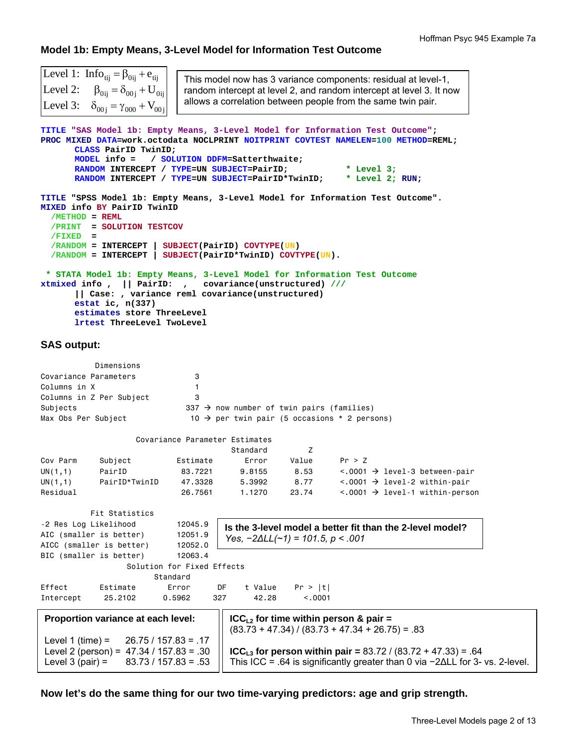# **Model 1b: Empty Means, 3-Level Model for Information Test Outcome**

| Level 1: $Info_{\text{tij}} = \beta_{0\text{ij}} + e_{\text{tij}}$<br>Level 2: $\beta_{0ij} = \delta_{00j} + U_{0ij}$<br>Level 3: $\delta_{00j} = \gamma_{000} + V_{00j}$                                                                                                                                        | This model now has 3 variance components: residual at level-1,<br>random intercept at level 2, and random intercept at level 3. It now<br>allows a correlation between people from the same twin pair.                                                     |
|------------------------------------------------------------------------------------------------------------------------------------------------------------------------------------------------------------------------------------------------------------------------------------------------------------------|------------------------------------------------------------------------------------------------------------------------------------------------------------------------------------------------------------------------------------------------------------|
| CLASS PairID TwinID;<br>$MODEL$ info =<br>RANDOM INTERCEPT / TYPE=UN SUBJECT=PairID;<br>RANDOM INTERCEPT / TYPE=UN SUBJECT=PairID*TwinID;                                                                                                                                                                        | TITLE "SAS Model 1b: Empty Means, 3-Level Model for Information Test Outcome";<br>PROC MIXED DATA=work.octodata NOCLPRINT NOITPRINT COVTEST NAMELEN=100 METHOD=REML;<br>/ SOLUTION DDFM=Satterthwaite;<br>* Level $3;$<br>* Level 2; RUN;                  |
| MIXED info BY PairID TwinID<br>$/METHOD = REML$<br>/PRINT<br>= SOLUTION TESTCOV<br>$/FIXED =$<br>$/RANDOM = INTERCEPT$<br>$/$ RANDOM = INTERCEPT   SUBJECT(PairID*TwinID) COVTYPE(UN).<br>xtmixed info,<br>   Case: , variance reml covariance(unstructured)<br>estat ic, $n(337)$<br>estimates store ThreeLevel | TITLE "SPSS Model 1b: Empty Means, 3-Level Model for Information Test Outcome".<br>SUBJECT (PairID) COVTYPE (UN)<br>* STATA Model 1b: Empty Means, 3-Level Model for Information Test Outcome<br>   PairID: , covariance(unstructured) ///                 |
| lrtest ThreeLevel TwoLevel<br><b>SAS output:</b>                                                                                                                                                                                                                                                                 |                                                                                                                                                                                                                                                            |
| Dimensions<br>Covariance Parameters<br>3<br>Columns in X<br>$\mathbf{1}$<br>Columns in Z Per Subject<br>3<br>Subjects<br>Max Obs Per Subject                                                                                                                                                                     | 337 $\rightarrow$ now number of twin pairs (families)<br>$10 \rightarrow$ per twin pair (5 occasions * 2 persons)                                                                                                                                          |
| Covariance Parameter Estimates                                                                                                                                                                                                                                                                                   |                                                                                                                                                                                                                                                            |
|                                                                                                                                                                                                                                                                                                                  | Standard<br>z                                                                                                                                                                                                                                              |
| Cov Parm<br>Subject<br>Estimate<br>PairID<br>83.7221<br>UN(1,1)<br>PairID*TwinID<br>47.3328<br>UN $(1,1)$<br>Residual<br>26.7561                                                                                                                                                                                 | Value<br>Pr > Z<br>Error<br>8.53<br>9.8155<br>$\langle .0001 \rangle$ + level-3 between-pair<br>8.77<br>5.3992<br>$\langle .0001 \rangle$ + level-2 within-pair<br>1.1270<br>23.74<br>$\langle .0001 \rangle$ + level-1 within-person                      |
| Fit Statistics<br>-2 Res Log Likelihood<br>12045.9<br>AIC (smaller is better)<br>12051.9<br>AICC (smaller is better)<br>12052.0                                                                                                                                                                                  | Is the 3-level model a better fit than the 2-level model?<br>Yes, $-2\Delta L L (\sim 1) = 101.5$ , $p < .001$                                                                                                                                             |
| BIC (smaller is better)<br>12063.4<br>Solution for Fixed Effects<br>Standard                                                                                                                                                                                                                                     |                                                                                                                                                                                                                                                            |
| Effect<br>Estimate<br>Error<br>327<br>Intercept<br>25.2102<br>0.5962                                                                                                                                                                                                                                             | t Value<br>DF<br>Pr >  t <br>42.28<br>< .0001                                                                                                                                                                                                              |
| Proportion variance at each level:<br>$26.75 / 157.83 = .17$<br>Level 1 (time) $=$<br>Level 2 (person) = $47.34 / 157.83 = .30$<br>Level $3$ (pair) =<br>$83.73 / 157.83 = .53$                                                                                                                                  | $ICCL2$ for time within person & pair =<br>$(83.73 + 47.34) / (83.73 + 47.34 + 26.75) = .83$<br>$ICC_{L3}$ for person within pair = 83.72 / (83.72 + 47.33) = .64<br>This ICC = .64 is significantly greater than 0 via $-2\Delta L L$ for 3- vs. 2-level. |

**Now let's do the same thing for our two time-varying predictors: age and grip strength.**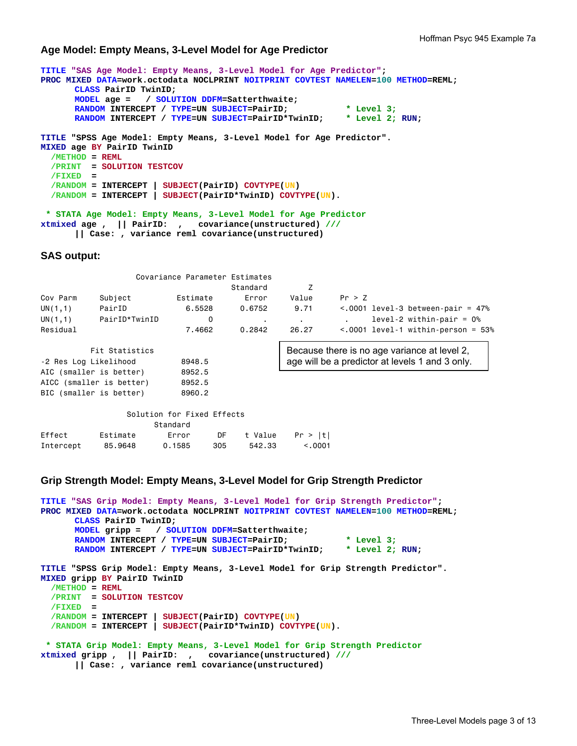### **Age Model: Empty Means, 3-Level Model for Age Predictor**

```
TITLE "SAS Age Model: Empty Means, 3-Level Model for Age Predictor"; 
PROC MIXED DATA=work.octodata NOCLPRINT NOITPRINT COVTEST NAMELEN=100 METHOD=REML; 
       CLASS PairID TwinID; 
       MODEL age = / SOLUTION DDFM=Satterthwaite; 
       RANDOM INTERCEPT / TYPE=UN SUBJECT=PairID; * Level 3;<br>RANDOM INTERCEPT / TYPE=UN SUBJECT=PairID*TwinID; * Level 2; RUN;
       RANDOM INTERCEPT / TYPE=UN SUBJECT=PairID*TwinID;
TITLE "SPSS Age Model: Empty Means, 3-Level Model for Age Predictor". 
MIXED age BY PairID TwinID 
  /METHOD = REML
  /PRINT = SOLUTION TESTCOV
   /FIXED = 
   /RANDOM = INTERCEPT | SUBJECT(PairID) COVTYPE(UN) 
   /RANDOM = INTERCEPT | SUBJECT(PairID*TwinID) COVTYPE(UN). 
  * STATA Age Model: Empty Means, 3-Level Model for Age Predictor 
xtmixed age , || PairID: , covariance(unstructured) ///
        || Case: , variance reml covariance(unstructured)
```
### **SAS output:**

|          |               | Covariance Parameter Estimates |          |                          |                                          |
|----------|---------------|--------------------------------|----------|--------------------------|------------------------------------------|
|          |               |                                | Standard |                          |                                          |
| Cov Parm | Subject       | Estimate                       | Error    | Value                    | Pr > 7                                   |
| UN(1,1)  | PairID        | 6,5528                         | 0.6752   | 9.71                     | $\leq$ .0001 level-3 between-pair = 47%  |
| UN(1,1)  | PairID*TwinID | 0                              | $\sim$   | <b>Contract Contract</b> | $level-2$ within-pair = $0\%$            |
| Residual |               | 7.4662                         | 0.2842   | 26.27                    | $\leq$ .0001 level-1 within-person = 53% |

| Fit Statistics           |        | Because there is no age variance at level 2,    |
|--------------------------|--------|-------------------------------------------------|
| -2 Res Log Likelihood    | 8948.5 | age will be a predictor at levels 1 and 3 only. |
| AIC (smaller is better)  | 8952.5 |                                                 |
| AICC (smaller is better) | 8952.5 |                                                 |
| BIC (smaller is better)  | 8960.2 |                                                 |
|                          |        |                                                 |

|           |          | Solution for Fixed Effects |     |         |         |  |  |  |
|-----------|----------|----------------------------|-----|---------|---------|--|--|--|
| Standard  |          |                            |     |         |         |  |  |  |
| Effect    | Estimate | Error                      | DF  | t Value | Pr >  t |  |  |  |
| Intercept | 85,9648  | 0.1585                     | 305 | 542.33  | < 0.001 |  |  |  |

## **Grip Strength Model: Empty Means, 3-Level Model for Grip Strength Predictor**

```
TITLE "SAS Grip Model: Empty Means, 3-Level Model for Grip Strength Predictor"; 
PROC MIXED DATA=work.octodata NOCLPRINT NOITPRINT COVTEST NAMELEN=100 METHOD=REML; 
      CLASS PairID TwinID; 
      MODEL gripp = / SOLUTION DDFM=Satterthwaite; 
      RANDOM INTERCEPT / TYPE=UN SUBJECT=PairID; * Level 3;
      RANDOM INTERCEPT / TYPE=UN SUBJECT=PairID*TwinID; * Level 2; RUN; 
TITLE "SPSS Grip Model: Empty Means, 3-Level Model for Grip Strength Predictor". 
MIXED gripp BY PairID TwinID 
  /METHOD = REML
   /PRINT = SOLUTION TESTCOV
   /FIXED = 
 /RANDOM = INTERCEPT | SUBJECT(PairID) COVTYPE(UN) 
 /RANDOM = INTERCEPT | SUBJECT(PairID*TwinID) COVTYPE(UN). 
  * STATA Grip Model: Empty Means, 3-Level Model for Grip Strength Predictor 
xtmixed gripp , || PairID: , covariance(unstructured) ///
       || Case: , variance reml covariance(unstructured)
```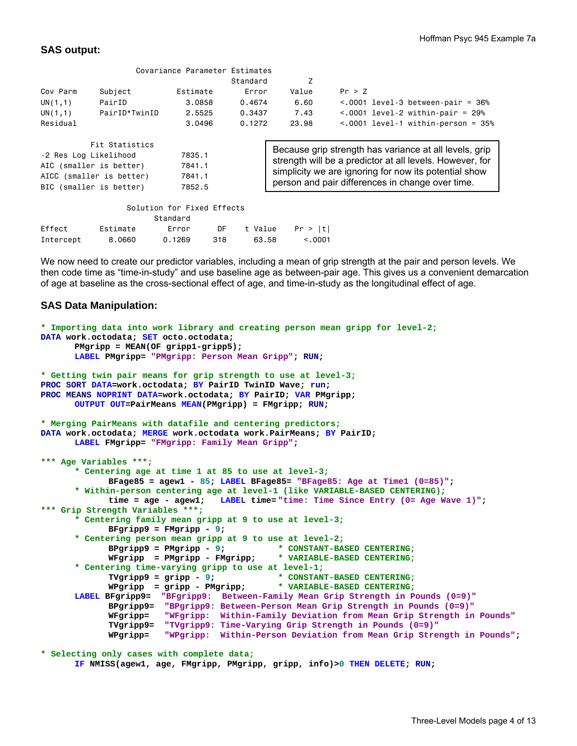## **SAS output:**

|                         |                          | Covariance Parameter Estimates |                                                        |                                                          |                                                       |  |  |
|-------------------------|--------------------------|--------------------------------|--------------------------------------------------------|----------------------------------------------------------|-------------------------------------------------------|--|--|
|                         |                          |                                | Standard                                               | Z                                                        |                                                       |  |  |
| Cov Parm                | Subject                  | Estimate                       | Error                                                  | Value                                                    | Pr > Z                                                |  |  |
| UN(1,1)                 | PairID                   | 3,0858                         | 0.4674                                                 | 6.60                                                     | $\leq$ .0001 level-3 between-pair = 36%               |  |  |
| UN(1,1)                 | PairID*TwinID            | 2.5525                         | 0.3437                                                 | 7.43                                                     | $< .0001$ level-2 within-pair = 29%                   |  |  |
| Residual                |                          | 3.0496                         | 0.1272                                                 | 23.98                                                    | $\leq$ .0001 level-1 within-person = 35%              |  |  |
|                         |                          |                                |                                                        |                                                          |                                                       |  |  |
|                         | Fit Statistics           |                                |                                                        |                                                          |                                                       |  |  |
| -2 Res Log Likelihood   |                          | 7835.1                         | Because grip strength has variance at all levels, grip |                                                          |                                                       |  |  |
|                         | AIC (smaller is better)  | 7841.1                         |                                                        | strength will be a predictor at all levels. However, for |                                                       |  |  |
|                         | AICC (smaller is better) | 7841.1                         |                                                        |                                                          | simplicity we are ignoring for now its potential show |  |  |
| BIC (smaller is better) |                          | 7852.5                         |                                                        | person and pair differences in change over time.         |                                                       |  |  |
|                         |                          |                                |                                                        |                                                          |                                                       |  |  |
|                         |                          | Solution for Fixed Effects     |                                                        |                                                          |                                                       |  |  |
|                         |                          | Standard                       |                                                        |                                                          |                                                       |  |  |

|       | Effect Estimate Error DF t-Value Pr >  t |  |  |  |
|-------|------------------------------------------|--|--|--|
|       | Intercept 8.0660 0.1269 318 63.58 <.0001 |  |  |  |
| - - - |                                          |  |  |  |

We now need to create our predictor variables, including a mean of grip strength at the pair and person levels. We then code time as "time-in-study" and use baseline age as between-pair age. This gives us a convenient demarcation of age at baseline as the cross-sectional effect of age, and time-in-study as the longitudinal effect of age.

## **SAS Data Manipulation:**

```
* Importing data into work library and creating person mean gripp for level-2;
DATA work.octodata; SET octo.octodata; 
       PMgripp = MEAN(OF gripp1-gripp5); 
      LABEL PMgripp= "PMgripp: Person Mean Gripp"; RUN; 
* Getting twin pair means for grip strength to use at level-3;
PROC SORT DATA=work.octodata; BY PairID TwinID Wave; run; 
PROC MEANS NOPRINT DATA=work.octodata; BY PairID; VAR PMgripp; 
      OUTPUT OUT=PairMeans MEAN(PMgripp) = FMgripp; RUN; 
* Merging PairMeans with datafile and centering predictors;
DATA work.octodata; MERGE work.octodata work.PairMeans; BY PairID; 
      LABEL FMgripp= "FMgripp: Family Mean Gripp";
*** Age Variables ***;
      * Centering age at time 1 at 85 to use at level-3;
              BFage85 = agew1 - 85; LABEL BFage85= "BFage85: Age at Time1 (0=85)"; 
      * Within-person centering age at level-1 (like VARIABLE-BASED CENTERING);
              time = age - agew1; LABEL time= "time: Time Since Entry (0= Age Wave 1)"; 
*** Grip Strength Variables ***;
      * Centering family mean gripp at 9 to use at level-3;
              BFgripp9 = FMgripp - 9; 
      * Centering person mean gripp at 9 to use at level-2;
              BPgripp9 = PMgripp - 9; * CONSTANT-BASED CENTERING;
              WFgripp = PMgripp - FMgripp; * VARIABLE-BASED CENTERING;
      * Centering time-varying gripp to use at level-1;
              TVgripp9 = gripp - 9; * CONSTANT-BASED CENTERING;
              WPgripp = gripp - PMgripp;
      LABEL BFgripp9= "BFgripp9: Between-Family Mean Grip Strength in Pounds (0=9)"
 BPgripp9= "BPgripp9: Between-Person Mean Grip Strength in Pounds (0=9)"
 WFgripp= "WFgripp: Within-Family Deviation from Mean Grip Strength in Pounds"
              TVgripp9= "TVgripp9: Time-Varying Grip Strength in Pounds (0=9)"
              WPgripp= "WPgripp: Within-Person Deviation from Mean Grip Strength in Pounds"; 
* Selecting only cases with complete data;
```
**IF NMISS(agew1, age, FMgripp, PMgripp, gripp, info)>0 THEN DELETE; RUN;**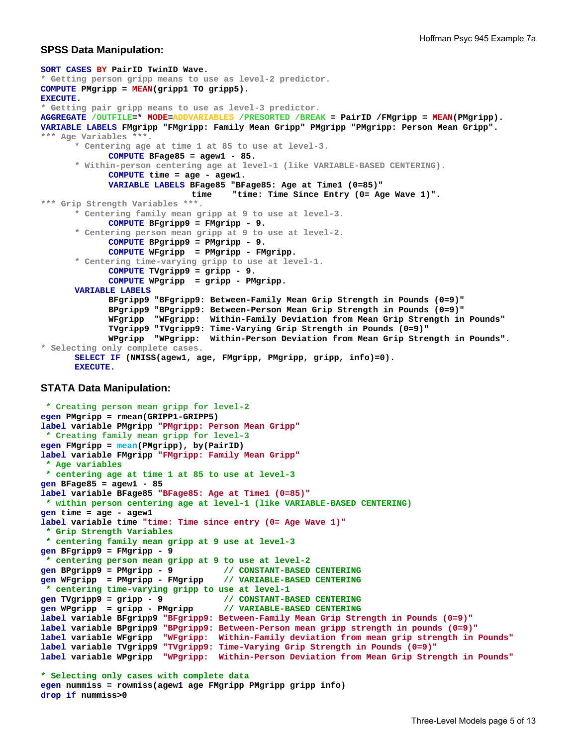## **SPSS Data Manipulation:**

```
SORT CASES BY PairID TwinID Wave.
* Getting person gripp means to use as level-2 predictor. 
COMPUTE PMgripp = MEAN(gripp1 TO gripp5). 
EXECUTE. 
* Getting pair gripp means to use as level-3 predictor. 
AGGREGATE /OUTFILE=* MODE=ADDVARIABLES /PRESORTED /BREAK = PairID /FMgripp = MEAN(PMgripp). 
VARIABLE LABELS FMgripp "FMgripp: Family Mean Gripp" PMgripp "PMgripp: Person Mean Gripp".
*** Age Variables ***. 
        * Centering age at time 1 at 85 to use at level-3. 
              COMPUTE BFage85 = agew1 - 85. 
       * Within-person centering age at level-1 (like VARIABLE-BASED CENTERING). 
              COMPUTE time = age - agew1. 
              VARIABLE LABELS BFage85 "BFage85: Age at Time1 (0=85)"
                               time "time: Time Since Entry (0= Age Wave 1)". 
*** Grip Strength Variables ***. 
        * Centering family mean gripp at 9 to use at level-3. 
              COMPUTE BFgripp9 = FMgripp - 9. 
       * Centering person mean gripp at 9 to use at level-2. 
              COMPUTE BPgripp9 = PMgripp - 9. 
              COMPUTE WFgripp = PMgripp - FMgripp. 
       * Centering time-varying gripp to use at level-1. 
              COMPUTE TVgripp9 = gripp - 9. 
              COMPUTE WPgripp = gripp - PMgripp. 
      VARIABLE LABELS 
              BFgripp9 "BFgripp9: Between-Family Mean Grip Strength in Pounds (0=9)" 
              BPgripp9 "BPgripp9: Between-Person Mean Grip Strength in Pounds (0=9)" 
              WFgripp "WFgripp: Within-Family Deviation from Mean Grip Strength in Pounds" 
              TVgripp9 "TVgripp9: Time-Varying Grip Strength in Pounds (0=9)" 
              WPgripp "WPgripp: Within-Person Deviation from Mean Grip Strength in Pounds". 
* Selecting only complete cases. 
       SELECT IF (NMISS(agew1, age, FMgripp, PMgripp, gripp, info)=0). 
      EXECUTE.
```
## **STATA Data Manipulation:**

```
 * Creating person mean gripp for level-2 
egen PMgripp = rmean(GRIPP1-GRIPP5) 
label variable PMgripp "PMgripp: Person Mean Gripp"
  * Creating family mean gripp for level-3 
egen FMgripp = mean(PMgripp), by(PairID) 
label variable FMgripp "FMgripp: Family Mean Gripp"
  * Age variables 
  * centering age at time 1 at 85 to use at level-3 
gen BFage85 = agew1 - 85 
label variable BFage85 "BFage85: Age at Time1 (0=85)"
 * within person centering age at level-1 (like VARIABLE-BASED CENTERING) 
gen time = age - agew1 
label variable time "time: Time since entry (0= Age Wave 1)"
  * Grip Strength Variables 
  * centering family mean gripp at 9 use at level-3 
gen BFgripp9 = FMgripp - 9
  * centering person mean gripp at 9 to use at level-2 
gen BPgripp9 = PMgripp - 9 // CONSTANT-BASED CENTERING 
gen WFgripp = PMgripp - FMgripp // VARIABLE-BASED CENTERING 
  * centering time-varying gripp to use at level-1 
gen TVgripp9 = gripp - 9 // CONSTANT-BASED CENTERING 
gen WPgripp = gripp - PMgripp // VARIABLE-BASED CENTERING 
label variable BFgripp9 "BFgripp9: Between-Family Mean Grip Strength in Pounds (0=9)"
label variable BPgripp9 "BPgripp9: Between-Person mean gripp strength in pounds (0=9)" 
label variable WFgripp "WFgripp: Within-Family deviation from mean grip strength in Pounds" 
label variable TVgripp9 "TVgripp9: Time-Varying Grip Strength in Pounds (0=9)" 
label variable WPgripp "WPgripp: Within-Person Deviation from Mean Grip Strength in Pounds"
* Selecting only cases with complete data
egen nummiss = rowmiss(agew1 age FMgripp PMgripp gripp info)
drop if nummiss>0
```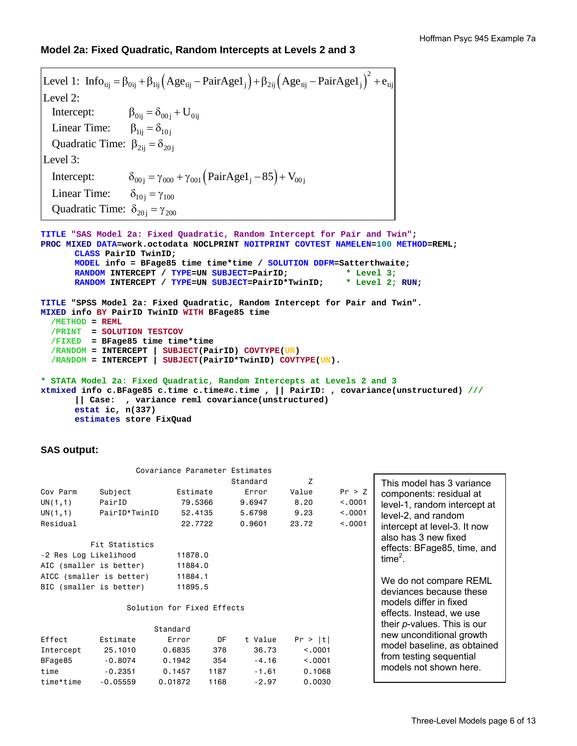## **Model 2a: Fixed Quadratic, Random Intercepts at Levels 2 and 3**

```
(Age_{\text{ti}} - \text{PairAge1}_{i}) + \beta_{2\text{ii}} (Age_{\text{ti}} - \text{PairAge1}_{i})^{2}Level 1: Info_{ij} = \beta_{0ij} + \beta_{1ij} (Age_{tij} - PairAge1_j) + \beta_{2ij} (Age_{tij} - PairAge1_j) + e_{tij}Intercept: \beta_{0ij} = \delta_{00j} + U_{0ij}\beta_{1ij} = \delta_{10j}Quadratic Time: \beta_{2ij} = \delta_{20j}Level 2: 
    Linear Time: 
Level 3: 
   Intercept:
        ercept: \delta_{00j} = \gamma_{000} + \gamma_{001} (\text{PairAgel}_{j} - 85) + V_{00j}\delta_{10j} = \gamma_{100}Quadratic Time: \delta_{20j} = \gamma_{200} Linear Time:
```
**TITLE "SAS Model 2a: Fixed Quadratic, Random Intercept for Pair and Twin"; PROC MIXED DATA=work.octodata NOCLPRINT NOITPRINT COVTEST NAMELEN=100 METHOD=REML; CLASS PairID TwinID; MODEL info = BFage85 time time\*time / SOLUTION DDFM=Satterthwaite; RANDOM INTERCEPT / TYPE=UN SUBJECT=PairID; \* Level 3; RANDOM INTERCEPT / TYPE=UN SUBJECT=PairID\*TwinID; \* Level 2; RUN; TITLE "SPSS Model 2a: Fixed Quadratic, Random Intercept for Pair and Twin". MIXED info BY PairID TwinID WITH BFage85 time /METHOD = REML /PRINT = SOLUTION TESTCOV /FIXED = BFage85 time time\*time /RANDOM = INTERCEPT | SUBJECT(PairID) COVTYPE(UN) /RANDOM = INTERCEPT | SUBJECT(PairID\*TwinID) COVTYPE(UN). \* STATA Model 2a: Fixed Quadratic, Random Intercepts at Levels 2 and 3** 

**xtmixed info c.BFage85 c.time c.time#c.time , || PairID: , covariance(unstructured) /// || Case: , variance reml covariance(unstructured) estat ic, n(337) estimates store FixQuad** 

### **SAS output:**

|                                                     |                                                                                | Covariance Parameter Estimates                                         |                                  |                                                   |                                                    |                                         |                                                                                                                                                                                                    |
|-----------------------------------------------------|--------------------------------------------------------------------------------|------------------------------------------------------------------------|----------------------------------|---------------------------------------------------|----------------------------------------------------|-----------------------------------------|----------------------------------------------------------------------------------------------------------------------------------------------------------------------------------------------------|
| Cov Parm<br>UN(1,1)<br>UN(1,1)<br>Residual          | Subject<br>PairID<br>PairID*TwinID<br>Fit Statistics                           | Estimate<br>79,5366<br>52,4135<br>22,7722                              |                                  | Standard<br>Error<br>9.6947<br>5.6798<br>0.9601   | Z<br>Value<br>8.20<br>9.23<br>23.72                | Pr > Z<br>< 0.001<br>< 0.001<br>< 0.001 | This model has 3 variance<br>components: residual at<br>level-1, random intercept at<br>level-2, and random<br>intercept at level-3. It now<br>also has 3 new fixed<br>effects: BFage85, time, and |
| -2 Res Log Likelihood                               | AIC (smaller is better)<br>AICC (smaller is better)<br>BIC (smaller is better) | 11878.0<br>11884.0<br>11884.1<br>11895.5<br>Solution for Fixed Effects |                                  |                                                   |                                                    |                                         | $time2$ .<br>We do not compare REML<br>deviances because these<br>models differ in fixed<br>effects. Instead, we use                                                                               |
| Effect<br>Intercept<br>BFage85<br>time<br>time*time | Estimate<br>25.1010<br>$-0.8074$<br>$-0.2351$<br>$-0.05559$                    | Standard<br>Error<br>0.6835<br>0.1942<br>0.1457<br>0.01872             | DF<br>378<br>354<br>1187<br>1168 | t Value<br>36.73<br>$-4.16$<br>$-1.61$<br>$-2.97$ | Pr >  t <br>< 0.001<br>< 0.001<br>0.1068<br>0.0030 |                                         | their <i>p</i> -values. This is our<br>new unconditional growth<br>model baseline, as obtained<br>from testing sequential<br>models not shown here.                                                |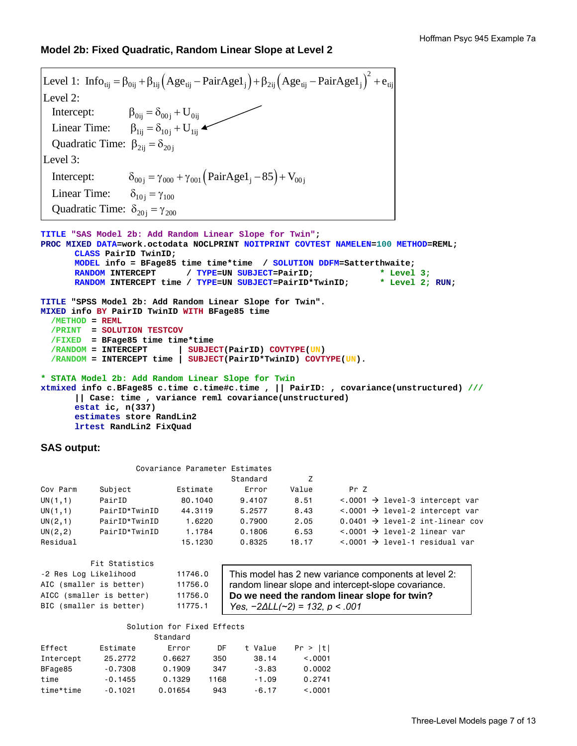## **Model 2b: Fixed Quadratic, Random Linear Slope at Level 2**

```
(Age_{\text{ti}} - \text{PairAge1}_{i}) + \beta_{2\text{ii}} (Age_{\text{ti}} - \text{PairAge1}_{i})^{2}Level 1: Info_{ij} = \beta_{0ij} + \beta_{1ij} (Age_{tij} - PairAge1_j) + \beta_{2ij} (Age_{tij} - PairAge1_j) + e_{tij}Intercept: \beta_{0ij} = \delta_{00j} + U_{0ij}Linear Time: \beta_{1ij} = \delta_{10j} + U_{1ij}Quadratic Time: \beta_{2ij} = \delta_{20j}Level 2: 
Level 3: 
 Intercept: \delta_{00j} = \gamma_{000} + \gamma_{001} (\text{PairAge1}_j - 85) + V_{00j}\delta_{10j} = \gamma_{100}Quadratic Time: \delta_{20j} = \gamma_{200} Linear Time: 
TITLE "SAS Model 2b: Add Random Linear Slope for Twin"; 
PROC MIXED DATA=work.octodata NOCLPRINT NOITPRINT COVTEST NAMELEN=100 METHOD=REML; 
        CLASS PairID TwinID; 
        MODEL info = BFage85 time time*time / SOLUTION DDFM=Satterthwaite; 
        RANDOM INTERCEPT / TYPE=UN SUBJECT=PairID; * Level 3;<br>RANDOM INTERCEPT time / TYPE=UN SUBJECT=PairID*TwinID; * Level 2; RUN;
        RANDOM INTERCEPT time / TYPE=UN SUBJECT=PairID*TwinID;
TITLE "SPSS Model 2b: Add Random Linear Slope for Twin". 
MIXED info BY PairID TwinID WITH BFage85 time 
   /METHOD = REML
   /PRINT = SOLUTION TESTCOV
   /FIXED = BFage85 time time*time 
   /RANDOM = INTERCEPT | SUBJECT(PairID) COVTYPE(UN) 
   /RANDOM = INTERCEPT time | SUBJECT(PairID*TwinID) COVTYPE(UN). 
* STATA Model 2b: Add Random Linear Slope for Twin 
xtmixed info c.BFage85 c.time c.time#c.time , || PairID: , covariance(unstructured) ///
         || Case: time , variance reml covariance(unstructured)
```
**estat ic, n(337) estimates store RandLin2 lrtest RandLin2 FixQuad** 

### **SAS output:**

| Covariance Parameter Estimates |  |
|--------------------------------|--|
|--------------------------------|--|

|          |               |          | Standard |       |                                               |
|----------|---------------|----------|----------|-------|-----------------------------------------------|
| Cov Parm | Subject       | Estimate | Error    | Value | Pr 7                                          |
| UN(1,1)  | PairID        | 80,1040  | 9.4107   | 8.51  | $\langle .0001 \rangle$ devel-3 intercept var |
| UN(1,1)  | PairID*TwinID | 44,3119  | 5.2577   | 8.43  | $\langle .0001 \rangle$ devel-2 intercept var |
| UN(2,1)  | PairID*TwinID | 1.6220   | 0.7900   | 2.05  | 0.0401 $\rightarrow$ level-2 int-linear cov   |
| UN(2, 2) | PairID*TwinID | 1.1784   | 0.1806   | 6.53  | $\langle .0001 \rangle$ + level-2 linear var  |
| Residual |               | 15,1230  | 0.8325   | 18.17 | $\langle .0001 \rangle$ level-1 residual var  |

| Fit Statistics           |         |
|--------------------------|---------|
| -2 Res Log Likelihood    | 11746.0 |
| AIC (smaller is better)  | 11756.0 |
| AICC (smaller is better) | 11756.0 |
| BIC (smaller is better)  | 11775.1 |

This model has 2 new variance components at level 2: random linear slope and intercept-slope covariance. **Do we need the random linear slope for twin?**  *Yes, −2∆LL(~2) = 132, p < .001*

#### Solution for Fixed Effects Standard

|           |           | u tanuar u |      |         |          |
|-----------|-----------|------------|------|---------|----------|
| Effect    | Estimate  | Error      | DF   | t Value | Pr >  t  |
| Intercept | 25.2772   | 0.6627     | 350  | 38.14   | < 0.0001 |
| BFage85   | $-0.7308$ | 0.1909     | 347  | $-3.83$ | 0.0002   |
| time      | $-0.1455$ | 0.1329     | 1168 | $-1.09$ | 0.2741   |
| time*time | $-0.1021$ | 0.01654    | 943  | $-6.17$ | < 0.001  |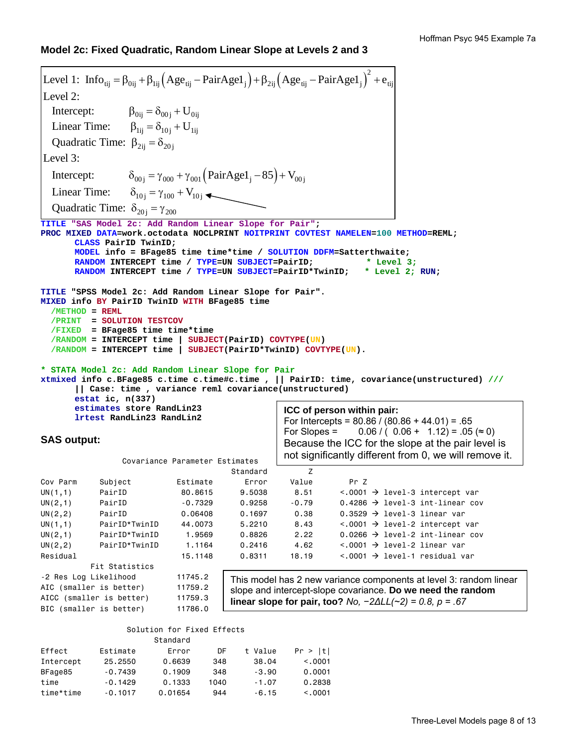# **Model 2c: Fixed Quadratic, Random Linear Slope at Levels 2 and 3**

```
(Age_{ii} - \text{PairAge1}_{i}) + \beta_{2ii} (Age_{ii} - \text{PairAge1}_{i})^{2}Level 1: Info_{ij} = \beta_{0ij} + \beta_{1ij} (Age_{tij} - PairAge1_j) + \beta_{2ij} (Age_{tij} - PairAge1_j) + e_{tij}Intercept: \beta_{0ij} = \delta_{00j} + U_{0ij}Linear Time: \beta_{1ij} = \delta_{10j} + U_{1ij}Quadratic Time: \beta_{2ij} = \delta_{20j}Level 2: 
Level 3: 
 Intercept: \delta_{00j} = \gamma_{000} + \gamma_{001} (\text{PairAge1}_j - 85) + V_{00j}Linear Time: \delta_{10j} = \gamma_{100} + V_{10j}Quadratic Time: \delta_{20j} = \gamma_{200}TITLE "SAS Model 2c: Add Random Linear Slope for Pair"; 
PROC MIXED DATA=work.octodata NOCLPRINT NOITPRINT COVTEST NAMELEN=100 METHOD=REML; 
       CLASS PairID TwinID; 
       MODEL info = BFage85 time time*time / SOLUTION DDFM=Satterthwaite; 
       RANDOM INTERCEPT time / TYPE=UN SUBJECT=PairID; * Level 3;
       RANDOM INTERCEPT time / TYPE=UN SUBJECT=PairID*TwinID; * Level 2; RUN; 
TITLE "SPSS Model 2c: Add Random Linear Slope for Pair". 
MIXED info BY PairID TwinID WITH BFage85 time 
   /METHOD = REML
   /PRINT = SOLUTION TESTCOV
   /FIXED = BFage85 time time*time 
   /RANDOM = INTERCEPT time | SUBJECT(PairID) COVTYPE(UN) 
   /RANDOM = INTERCEPT time | SUBJECT(PairID*TwinID) COVTYPE(UN). 
* STATA Model 2c: Add Random Linear Slope for Pair 
xtmixed info c.BFage85 c.time c.time#c.time , || PairID: time, covariance(unstructured) ///
        || Case: time , variance reml covariance(unstructured) 
       estat ic, n(337) 
       estimates store RandLin23 
       lrtest RandLin23 RandLin2 
SAS output:
                  Covariance Parameter Estimates 
er and the standard standard the standard standard standard standard standard standard standard standard stand
Cov Parm Subject Estimate Error Value Pr Z 
UN(1,1) PairID 80.8615 9.5038 8.51 <.0001 \rightarrow level-3 intercept var
UN(2,1) PairID -0.7329 0.9258 -0.79 0.4286 \rightarrow level-3 int-linear cov
UN(2,2) PairID 0.06408 0.1697 0.38 0.3529 \rightarrow level-3 linear var
UN(1,1) PairID*TwinID 44.0073 5.2210 8.43 <.0001 \rightarrow level-2 intercept var
UN(2,1) PairID*TwinID 1.9569 0.8826 2.22 0.0266 \rightarrow level-2 int-linear cov
UN(2,2) PairID*TwinID 1.1164 0.2416 4.62 <.0001 \rightarrow level-2 linear var
Residual 15.1148 0.8311 18.19 <.0001 → level-1 residual var
           Fit Statistics 
-2 Res Log Likelihood 11745.2 
AIC (smaller is better) 11759.2
AICC (smaller is better) 11759.3
BIC (smaller is better) 11786.0
                                         This model has 2 new variance components at level 3: random linear 
                                         slope and intercept-slope covariance. Do we need the random 
                                         linear slope for pair, too? No, −2∆LL(~2) = 0.8, p = .67
                                                     ICC of person within pair: 
                                                     For Intercepts = 80.86 / (80.86 + 44.01) = .65For Slopes = 0.06 / (0.06 + 1.12) = 0.05 (\approx 0)Because the ICC for the slope at the pair level is 
                                                     not significantly different from 0, we will remove it.
```
### Solution for Fixed Effects

|           |           | Standard |      |         |          |
|-----------|-----------|----------|------|---------|----------|
| Effect    | Estimate  | Error    | DF   | t Value | Pr >  t  |
| Intercept | 25.2550   | 0.6639   | 348  | 38.04   | < 0.0001 |
| BFage85   | $-0.7439$ | 0.1909   | 348  | $-3.90$ | 0.0001   |
| time      | $-0.1429$ | 0.1333   | 1040 | $-1.07$ | 0.2838   |
| time*time | $-0.1017$ | 0.01654  | 944  | $-6.15$ | < 0.001  |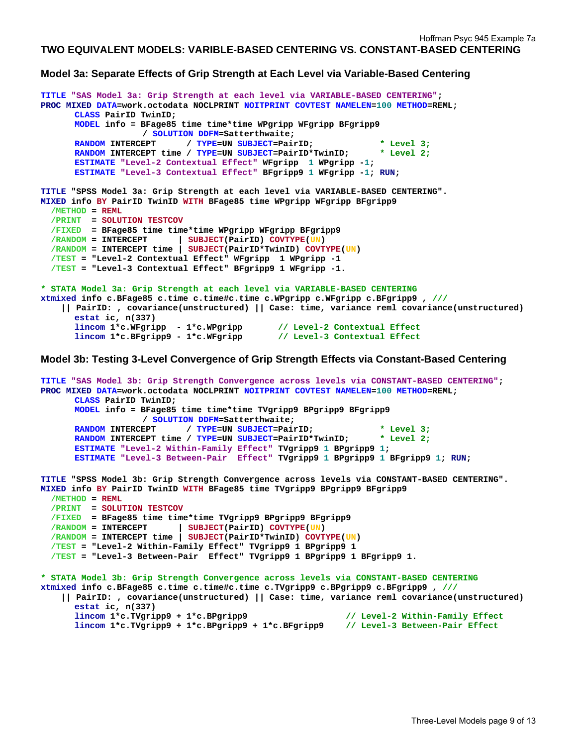## **TWO EQUIVALENT MODELS: VARIBLE-BASED CENTERING VS. CONSTANT-BASED CENTERING**

## **Model 3a: Separate Effects of Grip Strength at Each Level via Variable-Based Centering**

```
TITLE "SAS Model 3a: Grip Strength at each level via VARIABLE-BASED CENTERING"; 
PROC MIXED DATA=work.octodata NOCLPRINT NOITPRINT COVTEST NAMELEN=100 METHOD=REML; 
      CLASS PairID TwinID; 
      MODEL info = BFage85 time time*time WPgripp WFgripp BFgripp9 
                     / SOLUTION DDFM=Satterthwaite; 
      RANDOM INTERCEPT / TYPE=UN SUBJECT=PairID; * Level 3;
      RANDOM INTERCEPT time / TYPE=UN SUBJECT=PairID*TwinID; * Level 2;
      ESTIMATE "Level-2 Contextual Effect" WFgripp 1 WPgripp -1; 
      ESTIMATE "Level-3 Contextual Effect" BFgripp9 1 WFgripp -1; RUN; 
TITLE "SPSS Model 3a: Grip Strength at each level via VARIABLE-BASED CENTERING". 
MIXED info BY PairID TwinID WITH BFage85 time WPgripp WFgripp BFgripp9 
   /METHOD = REML
   /PRINT = SOLUTION TESTCOV
   /FIXED = BFage85 time time*time WPgripp WFgripp BFgripp9 
   /RANDOM = INTERCEPT | SUBJECT(PairID) COVTYPE(UN) 
   /RANDOM = INTERCEPT time | SUBJECT(PairID*TwinID) COVTYPE(UN) 
   /TEST = "Level-2 Contextual Effect" WFgripp 1 WPgripp -1 
   /TEST = "Level-3 Contextual Effect" BFgripp9 1 WFgripp -1. 
* STATA Model 3a: Grip Strength at each level via VARIABLE-BASED CENTERING 
xtmixed info c.BFage85 c.time c.time#c.time c.WPgripp c.WFgripp c.BFgripp9 , ///
     || PairID: , covariance(unstructured) || Case: time, variance reml covariance(unstructured) 
      estat ic, n(337) 
       lincom 1*c.WFgripp - 1*c.WPgripp // Level-2 Contextual Effect 
       lincom 1*c.BFgripp9 - 1*c.WFgripp // Level-3 Contextual Effect 
Model 3b: Testing 3-Level Convergence of Grip Strength Effects via Constant-Based Centering 
TITLE "SAS Model 3b: Grip Strength Convergence across levels via CONSTANT-BASED CENTERING"; 
PROC MIXED DATA=work.octodata NOCLPRINT NOITPRINT COVTEST NAMELEN=100 METHOD=REML; 
      CLASS PairID TwinID; 
      MODEL info = BFage85 time time*time TVgripp9 BPgripp9 BFgripp9 
                    / SOLUTION DDFM=Satterthwaite; 
      RANDOM INTERCEPT / TYPE=UN SUBJECT=PairID; * Level 3;<br>RANDOM INTERCEPT time / TYPE=UN SUBJECT=PairID*TwinID; * Level 2;
      RANDOM INTERCEPT time / TYPE=UN SUBJECT=PairID*TwinID;
      ESTIMATE "Level-2 Within-Family Effect" TVgripp9 1 BPgripp9 1; 
      ESTIMATE "Level-3 Between-Pair Effect" TVgripp9 1 BPgripp9 1 BFgripp9 1; RUN; 
TITLE "SPSS Model 3b: Grip Strength Convergence across levels via CONSTANT-BASED CENTERING". 
MIXED info BY PairID TwinID WITH BFage85 time TVgripp9 BPgripp9 BFgripp9 
  /METHOD = REML
   /PRINT = SOLUTION TESTCOV
   /FIXED = BFage85 time time*time TVgripp9 BPgripp9 BFgripp9 
   /RANDOM = INTERCEPT | SUBJECT(PairID) COVTYPE(UN) 
   /RANDOM = INTERCEPT time | SUBJECT(PairID*TwinID) COVTYPE(UN) 
   /TEST = "Level-2 Within-Family Effect" TVgripp9 1 BPgripp9 1 
   /TEST = "Level-3 Between-Pair Effect" TVgripp9 1 BPgripp9 1 BFgripp9 1. 
* STATA Model 3b: Grip Strength Convergence across levels via CONSTANT-BASED CENTERING 
xtmixed info c.BFage85 c.time c.time#c.time c.TVgripp9 c.BPgripp9 c.BFgripp9 , ///
     || PairID: , covariance(unstructured) || Case: time, variance reml covariance(unstructured) 
      estat ic, n(337) 
      lincom 1*c.TVgripp9 + 1*c.BPgripp9 // Level-2 Within-Family Effect 
      lincom 1*c.TVgripp9 + 1*c.BPgripp9 + 1*c.BFgripp9 // Level-3 Between-Pair Effect
```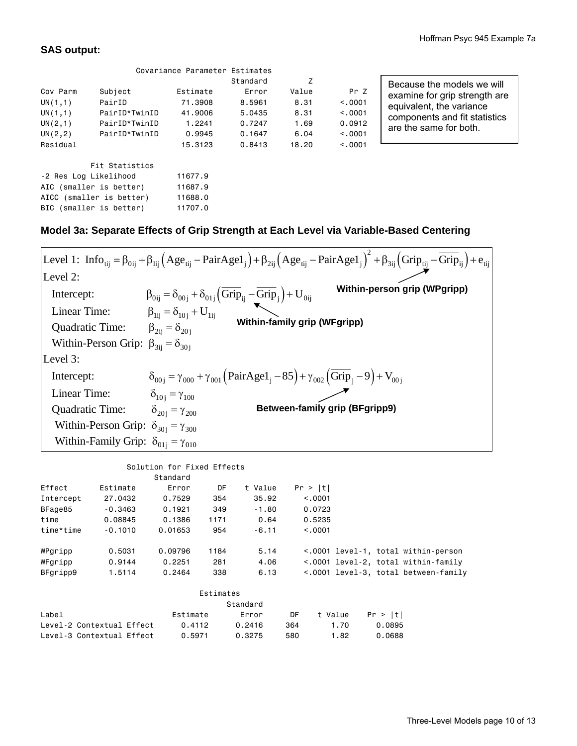# **SAS output:**

|                          |                         | Covariance Parameter Estimates |          |       |          |                               |
|--------------------------|-------------------------|--------------------------------|----------|-------|----------|-------------------------------|
|                          |                         |                                | Standard | Z     |          | Because the models we will    |
| Cov Parm                 | Subject                 | Estimate                       | Error    | Value | Pr Z     | examine for grip strength are |
| UN(1,1)                  | PairID                  | 71,3908                        | 8,5961   | 8.31  | < 0.001  | equivalent, the variance      |
| UN(1,1)                  | PairID*TwinID           | 41,9006                        | 5.0435   | 8.31  | < 0.001  | components and fit statistics |
| UN(2,1)                  | PairID*TwinID           | 1.2241                         | 0.7247   | 1.69  | 0.0912   | are the same for both.        |
| UN(2, 2)                 | PairID*TwinID           | 0.9945                         | 0.1647   | 6.04  | < 0.001  |                               |
| Residual                 |                         | 15,3123                        | 0.8413   | 18,20 | < 0.0001 |                               |
|                          | Fit Statistics          |                                |          |       |          |                               |
| -2 Res Log Likelihood    |                         | 11677.9                        |          |       |          |                               |
|                          | AIC (smaller is better) | 11687.9                        |          |       |          |                               |
| AICC (smaller is better) |                         | 11688.0                        |          |       |          |                               |
|                          | BIC (smaller is better) | 11707.0                        |          |       |          |                               |

# **Model 3a: Separate Effects of Grip Strength at Each Level via Variable-Based Centering**

| Level 2:<br>Within-person grip (WPgripp)<br>$\beta_{0ij} = \delta_{00j} + \delta_{01j} \left( \overline{Grip}_{ij} - \overline{Grip}_{j} \right) + U_{0ij}$<br>$\beta_{1ij} = \delta_{10j} + U_{1ij}$<br>Intercept:<br>Linear Time:<br><b>Within-family grip (WFgripp)</b><br>$\beta_{2ij} = \delta_{20i}$<br>Quadratic Time:<br>Within-Person Grip: $\beta_{3ij} = \delta_{30j}$<br>Level 3:<br>$\delta_{00i} = \gamma_{000} + \gamma_{001} (PairAge1_{i} - 85) + \gamma_{002} (\overline{Grip}_{i} - 9) + V_{00i}$<br>Intercept:<br>Linear Time:<br>$\delta_{10} = \gamma_{100}$<br><b>Between-family grip (BFgripp9)</b><br>Quadratic Time:<br>$\delta_{20i} = \gamma_{200}$<br>Within-Person Grip: $\delta_{30i} = \gamma_{300}$<br>Within-Family Grip: $\delta_{01i} = \gamma_{010}$ |  | Level 1: $\text{Info}_{\text{tij}} = \beta_{0i} + \beta_{1i} \left( \text{Age}_{\text{tij}} - \text{PairAge1}_{i} \right) + \beta_{2i} \left( \text{Age}_{\text{tij}} - \text{PairAge1}_{i} \right)^{2} + \beta_{3i} \left( \text{Grip}_{\text{tij}} - \overline{\text{Grip}}_{i} \right) + e_{\text{tij}}$ |
|-------------------------------------------------------------------------------------------------------------------------------------------------------------------------------------------------------------------------------------------------------------------------------------------------------------------------------------------------------------------------------------------------------------------------------------------------------------------------------------------------------------------------------------------------------------------------------------------------------------------------------------------------------------------------------------------------------------------------------------------------------------------------------------------|--|-------------------------------------------------------------------------------------------------------------------------------------------------------------------------------------------------------------------------------------------------------------------------------------------------------------|
|                                                                                                                                                                                                                                                                                                                                                                                                                                                                                                                                                                                                                                                                                                                                                                                           |  |                                                                                                                                                                                                                                                                                                             |
|                                                                                                                                                                                                                                                                                                                                                                                                                                                                                                                                                                                                                                                                                                                                                                                           |  |                                                                                                                                                                                                                                                                                                             |
|                                                                                                                                                                                                                                                                                                                                                                                                                                                                                                                                                                                                                                                                                                                                                                                           |  |                                                                                                                                                                                                                                                                                                             |
|                                                                                                                                                                                                                                                                                                                                                                                                                                                                                                                                                                                                                                                                                                                                                                                           |  |                                                                                                                                                                                                                                                                                                             |
|                                                                                                                                                                                                                                                                                                                                                                                                                                                                                                                                                                                                                                                                                                                                                                                           |  |                                                                                                                                                                                                                                                                                                             |
|                                                                                                                                                                                                                                                                                                                                                                                                                                                                                                                                                                                                                                                                                                                                                                                           |  |                                                                                                                                                                                                                                                                                                             |
|                                                                                                                                                                                                                                                                                                                                                                                                                                                                                                                                                                                                                                                                                                                                                                                           |  |                                                                                                                                                                                                                                                                                                             |
|                                                                                                                                                                                                                                                                                                                                                                                                                                                                                                                                                                                                                                                                                                                                                                                           |  |                                                                                                                                                                                                                                                                                                             |
|                                                                                                                                                                                                                                                                                                                                                                                                                                                                                                                                                                                                                                                                                                                                                                                           |  |                                                                                                                                                                                                                                                                                                             |
|                                                                                                                                                                                                                                                                                                                                                                                                                                                                                                                                                                                                                                                                                                                                                                                           |  |                                                                                                                                                                                                                                                                                                             |
|                                                                                                                                                                                                                                                                                                                                                                                                                                                                                                                                                                                                                                                                                                                                                                                           |  |                                                                                                                                                                                                                                                                                                             |

# Solution for Fixed Effects

|                           |           | Standard |           |          |     |         |         |         |                                      |  |
|---------------------------|-----------|----------|-----------|----------|-----|---------|---------|---------|--------------------------------------|--|
| Effect                    | Estimate  | Error    | DF        | t Value  |     | Pr >  t |         |         |                                      |  |
| Intercept                 | 27,0432   | 0.7529   | 354       | 35.92    |     | < 0.001 |         |         |                                      |  |
| BFage85                   | $-0.3463$ | 0.1921   | 349       | $-1.80$  |     | 0.0723  |         |         |                                      |  |
| time                      | 0.08845   | 0.1386   | 1171      | 0.64     |     | 0.5235  |         |         |                                      |  |
| time*time                 | $-0.1010$ | 0.01653  | 954       | $-6.11$  |     | < 0.001 |         |         |                                      |  |
|                           |           |          |           |          |     |         |         |         |                                      |  |
| WPgripp                   | 0.5031    | 0.09796  | 1184      | 5.14     |     |         |         |         | <.0001 level-1, total within-person  |  |
| WFgripp                   | 0.9144    | 0.2251   | 281       | 4.06     |     |         |         |         | <.0001 level-2, total within-family  |  |
| BFgripp9                  | 1.5114    | 0.2464   | 338       | 6.13     |     |         |         |         | <.0001 level-3, total between-family |  |
|                           |           |          |           |          |     |         |         |         |                                      |  |
|                           |           |          | Estimates |          |     |         |         |         |                                      |  |
|                           |           |          |           | Standard |     |         |         |         |                                      |  |
| Label                     |           | Estimate |           | Error    | DF. |         | t Value | Pr >  t |                                      |  |
| Level-2 Contextual Effect |           | 0.4112   |           | 0.2416   | 364 |         | 1.70    |         | 0.0895                               |  |
| Level-3 Contextual Effect |           | 0.5971   |           | 0.3275   | 580 |         | 1.82    |         | 0.0688                               |  |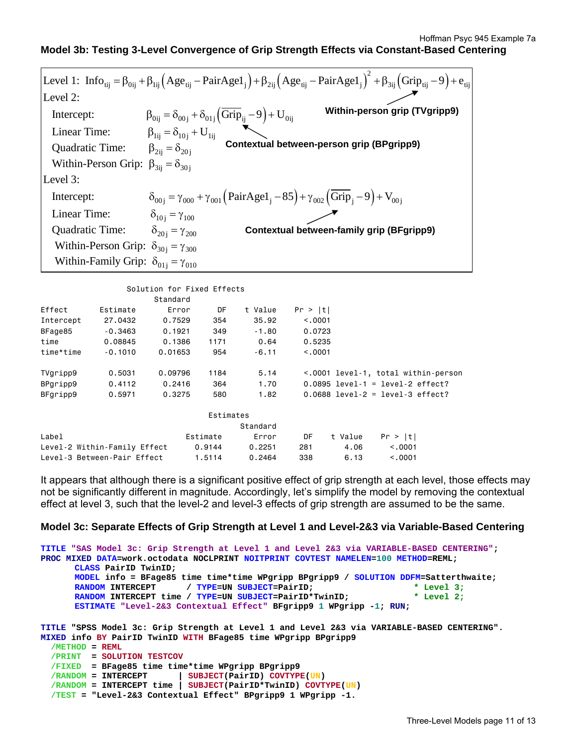# **Model 3b: Testing 3-Level Convergence of Grip Strength Effects via Constant-Based Centering**

|                                                   |                                                                                                                            | Level 1: $\text{Info}_{\text{tij}} = \beta_{0i} + \beta_{1i} (\text{Age}_{\text{tij}} - \text{PairAge1}_i) + \beta_{2i} (\text{Age}_{\text{tij}} - \text{PairAge1}_i)^2 + \beta_{3i} (\text{Grip}_{\text{tij}} - 9) + e_{\text{tij}}$ |
|---------------------------------------------------|----------------------------------------------------------------------------------------------------------------------------|---------------------------------------------------------------------------------------------------------------------------------------------------------------------------------------------------------------------------------------|
| Level 2:                                          |                                                                                                                            |                                                                                                                                                                                                                                       |
| Intercept:                                        | $\beta_{0ij} = \delta_{00j} + \delta_{01j} (\overline{Grip}_{ij} - 9) + U_{0ij}$<br>$\beta_{1ij} = \delta_{10j} + U_{1ij}$ | Within-person grip (TVgripp9)                                                                                                                                                                                                         |
| Linear Time:                                      |                                                                                                                            |                                                                                                                                                                                                                                       |
| Quadratic Time:                                   | $\beta_{2ii} = \delta_{20i}$                                                                                               | Contextual between-person grip (BPgripp9)                                                                                                                                                                                             |
| Within-Person Grip: $\beta_{3ii} = \delta_{30i}$  |                                                                                                                            |                                                                                                                                                                                                                                       |
| Level 3:                                          |                                                                                                                            |                                                                                                                                                                                                                                       |
| Intercept:                                        |                                                                                                                            | $\delta_{00i} = \gamma_{000} + \gamma_{001} (PairAge1_{i} - 85) + \gamma_{002} (Grip_i - 9) + V_{00i}$                                                                                                                                |
| Linear Time:                                      | $\delta_{10} = \gamma_{100}$                                                                                               |                                                                                                                                                                                                                                       |
| Quadratic Time:                                   | $\delta_{20i} = \gamma_{200}$                                                                                              | <b>Contextual between-family grip (BFgripp9)</b>                                                                                                                                                                                      |
| Within-Person Grip: $\delta_{30i} = \gamma_{300}$ |                                                                                                                            |                                                                                                                                                                                                                                       |
| Within-Family Grip: $\delta_{01i} = \gamma_{010}$ |                                                                                                                            |                                                                                                                                                                                                                                       |
|                                                   |                                                                                                                            |                                                                                                                                                                                                                                       |

|           |                              | OUIULIUI TUL TIACU ETTCOLU |           |          |         |         |                                     |  |
|-----------|------------------------------|----------------------------|-----------|----------|---------|---------|-------------------------------------|--|
|           |                              | Standard                   |           |          |         |         |                                     |  |
| Effect    | Estimate                     | Error                      | DF        | t Value  | Pr >  t |         |                                     |  |
| Intercept | 27,0432                      | 0.7529                     | 354       | 35.92    | < 0.001 |         |                                     |  |
| BFage85   | $-0.3463$                    | 0.1921                     | 349       | $-1.80$  | 0.0723  |         |                                     |  |
| time      | 0.08845                      | 0.1386                     | 1171      | 0.64     | 0.5235  |         |                                     |  |
| time*time | $-0.1010$                    | 0.01653                    | 954       | $-6.11$  | < 0.001 |         |                                     |  |
| TVgripp9  | 0.5031                       | 0.09796                    | 1184      | 5.14     |         |         | <.0001 level-1, total within-person |  |
| BPgripp9  | 0.4112                       | 0.2416                     | 364       | 1.70     |         |         | $0.0895$ level-1 = level-2 effect?  |  |
| BFgripp9  | 0.5971                       | 0.3275                     | 580       | 1.82     |         |         | $0.0688$ level-2 = level-3 effect?  |  |
|           |                              |                            | Estimates |          |         |         |                                     |  |
|           |                              |                            |           | Standard |         |         |                                     |  |
| Label     |                              |                            | Estimate  | Error    | DF      | t Value | Pr >  t                             |  |
|           | Level-2 Within-Family Effect |                            | 0.9144    | 0.2251   | 281     | 4.06    | < 0.001                             |  |
|           | Level-3 Between-Pair Effect  |                            | 1.5114    | 0.2464   | 338     | 6.13    | < 0.001                             |  |

Solution for Eived Effects

It appears that although there is a significant positive effect of grip strength at each level, those effects may not be significantly different in magnitude. Accordingly, let's simplify the model by removing the contextual effect at level 3, such that the level-2 and level-3 effects of grip strength are assumed to be the same.

## **Model 3c: Separate Effects of Grip Strength at Level 1 and Level-2&3 via Variable-Based Centering**

```
TITLE "SAS Model 3c: Grip Strength at Level 1 and Level 2&3 via VARIABLE-BASED CENTERING"; 
PROC MIXED DATA=work.octodata NOCLPRINT NOITPRINT COVTEST NAMELEN=100 METHOD=REML; 
      CLASS PairID TwinID; 
      MODEL info = BFage85 time time*time WPgripp BPgripp9 / SOLUTION DDFM=Satterthwaite; 
      RANDOM INTERCEPT / TYPE=UN SUBJECT=PairID;
      RANDOM INTERCEPT time / TYPE=UN SUBJECT=PairID*TwinID; * Level 2; 
      ESTIMATE "Level-2&3 Contextual Effect" BFgripp9 1 WPgripp -1; RUN; 
TITLE "SPSS Model 3c: Grip Strength at Level 1 and Level 2&3 via VARIABLE-BASED CENTERING". 
MIXED info BY PairID TwinID WITH BFage85 time WPgripp BPgripp9 
  /METHOD = REML
   /PRINT = SOLUTION TESTCOV
   /FIXED = BFage85 time time*time WPgripp BPgripp9 
 /RANDOM = INTERCEPT | SUBJECT(PairID) COVTYPE(UN) 
 /RANDOM = INTERCEPT time | SUBJECT(PairID*TwinID) COVTYPE(UN) 
   /TEST = "Level-2&3 Contextual Effect" BPgripp9 1 WPgripp -1.
```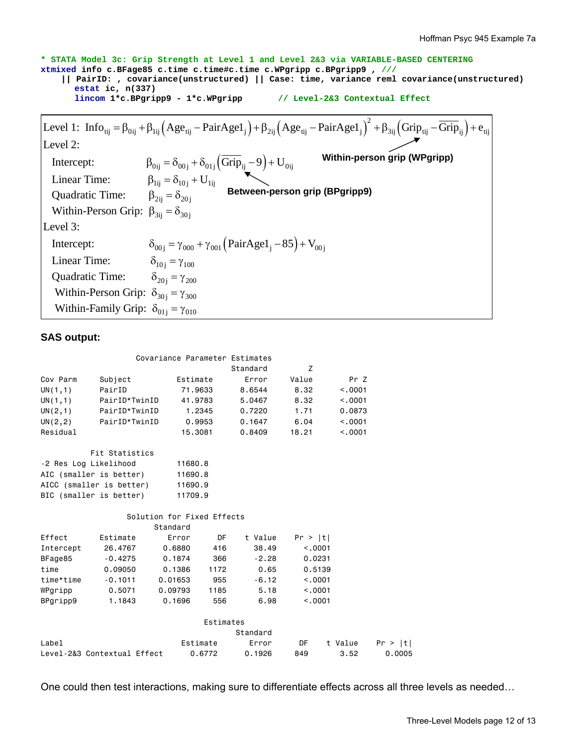**\* STATA Model 3c: Grip Strength at Level 1 and Level 2&3 via VARIABLE-BASED CENTERING xtmixed info c.BFage85 c.time c.time#c.time c.WPgripp c.BPgripp9 , /// || PairID: , covariance(unstructured) || Case: time, variance reml covariance(unstructured) estat ic, n(337) lincom 1\*c.BPgripp9 - 1\*c.WPgripp // Level-2&3 Contextual Effect**   $(Age_{ii} - \text{PairAgel}_{i}) + \beta_{2ii} (Age_{ii} - \text{PairAgel}_{i})^2 + \beta_{3ii} (\text{Grip}_{ii} - \overline{\text{Grip}}_{ii})$ Intercept:  $\beta_{0ij} = \delta_{00j} + \delta_{01j} \left( \text{Grip}_{ij} - 9 \right) + U_{0ij}$ Level 1:  $\text{Info}_{\text{tij}} = \beta_{\text{0ij}} + \beta_{\text{1ij}} \left(\text{Age}_{\text{tij}} - \text{PairAge1}_{j}\right) + \beta_{\text{2ij}} \left(\text{Age}_{\text{tij}} - \text{PairAge1}_{j}\right)^{2} + \beta_{\text{3ij}} \left(\text{Grip}_{\text{tij}} - \text{Grip}_{\text{ij}}\right) + \text{e}_{\text{tij}}$ Linear Time:  $\beta_{1ij} = \delta_{10j} + U_{1ij}$ Level 2: Intercept:  $\delta_{00j} = \gamma_{000} + \gamma_{001} (\text{PairAgel}_j - 85) + V_{00j}$  $\beta_{2ij} = \delta_{20j}$  Between-person grip (BPgripp9) Within-Person Grip:  $\beta_{3ij} = \delta_{30j}$  $\delta_{10j} = \gamma_{100}$  Quadratic Time: Level 3: Linear Time: Quadratic Time :  $\delta_{20j} = \gamma_{200}$ Within-Person Grip:  $\delta_{30j} = \gamma_{300}$ Within-Family Grip:  $\delta_{01j} = \gamma_{010}$ **Within-person grip (WPgripp)**

## **SAS output:**

|           |                             |                            |           | Covariance Parameter Estimates<br>Standard | Z       |         |         |
|-----------|-----------------------------|----------------------------|-----------|--------------------------------------------|---------|---------|---------|
| Cov Parm  |                             | Estimate                   |           | Error                                      | Value   | Pr Z    |         |
|           | Subject<br>PairID           |                            |           | 8,6544                                     | 8.32    | < .0001 |         |
| UN(1,1)   |                             | 71,9633                    |           | 5.0467                                     |         |         |         |
| UN(1,1)   | PairID*TwinID               |                            | 41,9783   |                                            | 8.32    | < 0.001 |         |
| UN(2,1)   | PairID*TwinID               |                            | 1.2345    | 0.7220                                     | 1.71    | 0.0873  |         |
| UN(2, 2)  | PairID*TwinID               |                            | 0.9953    | 0.1647                                     | 6.04    | < 0.001 |         |
| Residual  |                             |                            | 15,3081   | 0.8409                                     | 18.21   | < 0.001 |         |
|           | Fit Statistics              |                            |           |                                            |         |         |         |
|           | -2 Res Log Likelihood       | 11680.8                    |           |                                            |         |         |         |
|           | AIC (smaller is better)     | 11690.8                    |           |                                            |         |         |         |
|           | AICC (smaller is better)    | 11690.9                    |           |                                            |         |         |         |
|           | BIC (smaller is better)     | 11709.9                    |           |                                            |         |         |         |
|           |                             | Solution for Fixed Effects |           |                                            |         |         |         |
|           |                             | Standard                   |           |                                            |         |         |         |
| Effect    | Estimate                    | Error                      | DF.       | t Value                                    | Pr >  t |         |         |
| Intercept | 26,4767                     | 0.6880                     | 416       | 38.49                                      | < 0.001 |         |         |
| BFage85   | $-0.4275$                   | 0.1874                     | 366       | $-2.28$                                    | 0.0231  |         |         |
| time      | 0.09050                     | 0.1386                     | 1172      | 0.65                                       | 0.5139  |         |         |
| time*time | $-0.1011$                   | 0.01653                    | 955       | $-6.12$                                    | < .0001 |         |         |
| WPgripp   | 0.5071                      | 0.09793                    | 1185      | 5.18                                       | < 0.001 |         |         |
| BPgripp9  | 1.1843                      | 0.1696                     | 556       | 6.98                                       | < 0.001 |         |         |
|           |                             |                            | Estimates |                                            |         |         |         |
|           |                             |                            |           | Standard                                   |         |         |         |
| Label     |                             |                            | Estimate  | Error                                      | DF      | t Value | Pr >  t |
|           |                             |                            |           |                                            |         | 3.52    | 0.0005  |
|           | Level-2&3 Contextual Effect |                            | 0.6772    | 0.1926                                     | 849     |         |         |

One could then test interactions, making sure to differentiate effects across all three levels as needed…